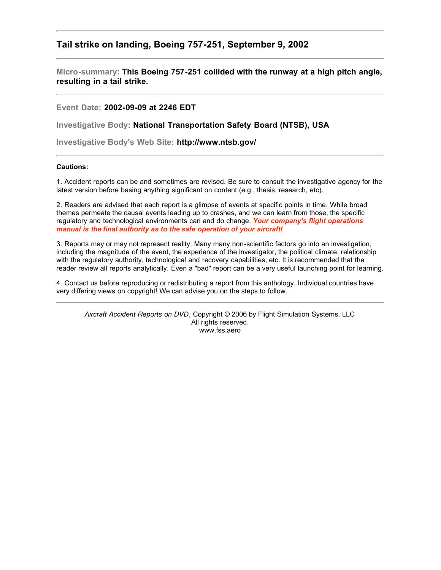## **Tail strike on landing, Boeing 757-251, September 9, 2002**

**Micro-summary: This Boeing 757-251 collided with the runway at a high pitch angle, resulting in a tail strike.**

**Event Date: 2002-09-09 at 2246 EDT**

**Investigative Body: National Transportation Safety Board (NTSB), USA**

**Investigative Body's Web Site: http://www.ntsb.gov/**

## **Cautions:**

1. Accident reports can be and sometimes are revised. Be sure to consult the investigative agency for the latest version before basing anything significant on content (e.g., thesis, research, etc).

2. Readers are advised that each report is a glimpse of events at specific points in time. While broad themes permeate the causal events leading up to crashes, and we can learn from those, the specific regulatory and technological environments can and do change. *Your company's flight operations manual is the final authority as to the safe operation of your aircraft!*

3. Reports may or may not represent reality. Many many non-scientific factors go into an investigation, including the magnitude of the event, the experience of the investigator, the political climate, relationship with the regulatory authority, technological and recovery capabilities, etc. It is recommended that the reader review all reports analytically. Even a "bad" report can be a very useful launching point for learning.

4. Contact us before reproducing or redistributing a report from this anthology. Individual countries have very differing views on copyright! We can advise you on the steps to follow.

*Aircraft Accident Reports on DVD*, Copyright © 2006 by Flight Simulation Systems, LLC All rights reserved. www.fss.aero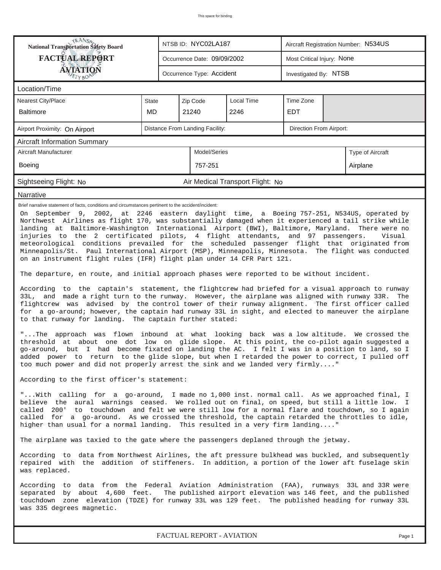| <b>National Transportation Safety Board</b>                                                                                                                                                                                                                                                                                                                                                                                                                                                                                                                                                                                                                                                                                                                                                                                                                                                                                                                                                                                                                                                                                                                                                                                                                                                                                                                                                                                                                                                                                                                                                                                                                                                                                                                                                                                                                                                                                                                                                                                                                                                                                                                                                                                                                                                                                                                                                     |              |         | NTSB ID: NYC02LA187             |                                  | Aircraft Registration Number: N534US |                         |                  |  |  |  |
|-------------------------------------------------------------------------------------------------------------------------------------------------------------------------------------------------------------------------------------------------------------------------------------------------------------------------------------------------------------------------------------------------------------------------------------------------------------------------------------------------------------------------------------------------------------------------------------------------------------------------------------------------------------------------------------------------------------------------------------------------------------------------------------------------------------------------------------------------------------------------------------------------------------------------------------------------------------------------------------------------------------------------------------------------------------------------------------------------------------------------------------------------------------------------------------------------------------------------------------------------------------------------------------------------------------------------------------------------------------------------------------------------------------------------------------------------------------------------------------------------------------------------------------------------------------------------------------------------------------------------------------------------------------------------------------------------------------------------------------------------------------------------------------------------------------------------------------------------------------------------------------------------------------------------------------------------------------------------------------------------------------------------------------------------------------------------------------------------------------------------------------------------------------------------------------------------------------------------------------------------------------------------------------------------------------------------------------------------------------------------------------------------|--------------|---------|---------------------------------|----------------------------------|--------------------------------------|-------------------------|------------------|--|--|--|
| <b>FACTUAL REPORT</b>                                                                                                                                                                                                                                                                                                                                                                                                                                                                                                                                                                                                                                                                                                                                                                                                                                                                                                                                                                                                                                                                                                                                                                                                                                                                                                                                                                                                                                                                                                                                                                                                                                                                                                                                                                                                                                                                                                                                                                                                                                                                                                                                                                                                                                                                                                                                                                           |              |         | Occurrence Date: 09/09/2002     |                                  | Most Critical Injury: None           |                         |                  |  |  |  |
| <b>ÁVIATION</b><br>ETYBOR                                                                                                                                                                                                                                                                                                                                                                                                                                                                                                                                                                                                                                                                                                                                                                                                                                                                                                                                                                                                                                                                                                                                                                                                                                                                                                                                                                                                                                                                                                                                                                                                                                                                                                                                                                                                                                                                                                                                                                                                                                                                                                                                                                                                                                                                                                                                                                       |              |         | Occurrence Type: Accident       |                                  | Investigated By: NTSB                |                         |                  |  |  |  |
| Location/Time                                                                                                                                                                                                                                                                                                                                                                                                                                                                                                                                                                                                                                                                                                                                                                                                                                                                                                                                                                                                                                                                                                                                                                                                                                                                                                                                                                                                                                                                                                                                                                                                                                                                                                                                                                                                                                                                                                                                                                                                                                                                                                                                                                                                                                                                                                                                                                                   |              |         |                                 |                                  |                                      |                         |                  |  |  |  |
| Nearest City/Place                                                                                                                                                                                                                                                                                                                                                                                                                                                                                                                                                                                                                                                                                                                                                                                                                                                                                                                                                                                                                                                                                                                                                                                                                                                                                                                                                                                                                                                                                                                                                                                                                                                                                                                                                                                                                                                                                                                                                                                                                                                                                                                                                                                                                                                                                                                                                                              | <b>State</b> |         | Zip Code                        | Local Time                       | Time Zone                            |                         |                  |  |  |  |
| <b>Baltimore</b>                                                                                                                                                                                                                                                                                                                                                                                                                                                                                                                                                                                                                                                                                                                                                                                                                                                                                                                                                                                                                                                                                                                                                                                                                                                                                                                                                                                                                                                                                                                                                                                                                                                                                                                                                                                                                                                                                                                                                                                                                                                                                                                                                                                                                                                                                                                                                                                | MD           |         | 21240                           | 2246                             | <b>EDT</b>                           |                         |                  |  |  |  |
| Airport Proximity: On Airport                                                                                                                                                                                                                                                                                                                                                                                                                                                                                                                                                                                                                                                                                                                                                                                                                                                                                                                                                                                                                                                                                                                                                                                                                                                                                                                                                                                                                                                                                                                                                                                                                                                                                                                                                                                                                                                                                                                                                                                                                                                                                                                                                                                                                                                                                                                                                                   |              |         | Distance From Landing Facility: |                                  |                                      | Direction From Airport: |                  |  |  |  |
| Aircraft Information Summary                                                                                                                                                                                                                                                                                                                                                                                                                                                                                                                                                                                                                                                                                                                                                                                                                                                                                                                                                                                                                                                                                                                                                                                                                                                                                                                                                                                                                                                                                                                                                                                                                                                                                                                                                                                                                                                                                                                                                                                                                                                                                                                                                                                                                                                                                                                                                                    |              |         |                                 |                                  |                                      |                         |                  |  |  |  |
| Aircraft Manufacturer                                                                                                                                                                                                                                                                                                                                                                                                                                                                                                                                                                                                                                                                                                                                                                                                                                                                                                                                                                                                                                                                                                                                                                                                                                                                                                                                                                                                                                                                                                                                                                                                                                                                                                                                                                                                                                                                                                                                                                                                                                                                                                                                                                                                                                                                                                                                                                           |              |         | Model/Series                    |                                  |                                      |                         | Type of Aircraft |  |  |  |
| Boeing                                                                                                                                                                                                                                                                                                                                                                                                                                                                                                                                                                                                                                                                                                                                                                                                                                                                                                                                                                                                                                                                                                                                                                                                                                                                                                                                                                                                                                                                                                                                                                                                                                                                                                                                                                                                                                                                                                                                                                                                                                                                                                                                                                                                                                                                                                                                                                                          |              | 757-251 |                                 |                                  |                                      | Airplane                |                  |  |  |  |
| Sightseeing Flight: No                                                                                                                                                                                                                                                                                                                                                                                                                                                                                                                                                                                                                                                                                                                                                                                                                                                                                                                                                                                                                                                                                                                                                                                                                                                                                                                                                                                                                                                                                                                                                                                                                                                                                                                                                                                                                                                                                                                                                                                                                                                                                                                                                                                                                                                                                                                                                                          |              |         |                                 | Air Medical Transport Flight: No |                                      |                         |                  |  |  |  |
| Narrative                                                                                                                                                                                                                                                                                                                                                                                                                                                                                                                                                                                                                                                                                                                                                                                                                                                                                                                                                                                                                                                                                                                                                                                                                                                                                                                                                                                                                                                                                                                                                                                                                                                                                                                                                                                                                                                                                                                                                                                                                                                                                                                                                                                                                                                                                                                                                                                       |              |         |                                 |                                  |                                      |                         |                  |  |  |  |
| Brief narrative statement of facts, conditions and circumstances pertinent to the accident/incident:<br>On September 9, 2002, at 2246 eastern daylight time, a Boeing 757-251, N534US, operated by<br>Northwest Airlines as flight 170, was substantially damaged when it experienced a tail strike while<br>landing at Baltimore-Washington International Airport (BWI), Baltimore, Maryland. There were no<br>injuries to the 2 certificated pilots, 4 flight attendants, and 97 passengers.<br>Visual<br>meteorological conditions prevailed for the scheduled passenger flight that originated from<br>Minneapolis/St. Paul International Airport (MSP), Minneapolis, Minnesota. The flight was conducted<br>on an instrument flight rules (IFR) flight plan under 14 CFR Part 121.<br>The departure, en route, and initial approach phases were reported to be without incident.<br>According to the captain's statement, the flightcrew had briefed for a visual approach to runway<br>33L, and made a right turn to the runway. However, the airplane was aligned with runway 33R. The<br>flightcrew was advised by the control tower of their runway alignment. The first officer called<br>for a go-around; however, the captain had runway 33L in sight, and elected to maneuver the airplane<br>to that runway for landing. The captain further stated:<br>"The approach was flown inbound at what looking back was a low altitude. We crossed the<br>threshold at about one dot low on glide slope. At this point, the co-pilot again suggested a<br>go-around, but I had become fixated on landing the AC. I felt I was in a position to land, so I<br>added power to return to the glide slope, but when I retarded the power to correct, I pulled off<br>too much power and did not properly arrest the sink and we landed very firmly"<br>According to the first officer's statement:<br>"With calling for a go-around, I made no 1,000 inst. normal call. As we approached final, I<br>believe the aural warnings ceased. We rolled out on final, on speed, but still a little low. I<br>called 200' to touchdown and felt we were still low for a normal flare and touchdown, so I again<br>called for a go-around. As we crossed the threshold, the captain retarded the throttles to idle,<br>higher than usual for a normal landing. This resulted in a very firm landing" |              |         |                                 |                                  |                                      |                         |                  |  |  |  |
| According to data from Northwest Airlines, the aft pressure bulkhead was buckled, and subsequently<br>repaired with the addition of stiffeners. In addition, a portion of the lower aft fuselage skin<br>was replaced.                                                                                                                                                                                                                                                                                                                                                                                                                                                                                                                                                                                                                                                                                                                                                                                                                                                                                                                                                                                                                                                                                                                                                                                                                                                                                                                                                                                                                                                                                                                                                                                                                                                                                                                                                                                                                                                                                                                                                                                                                                                                                                                                                                          |              |         |                                 |                                  |                                      |                         |                  |  |  |  |
| According to data from the Federal Aviation Administration (FAA), runways 33L and 33R were<br>separated by about 4,600 feet. The published airport elevation was 146 feet, and the published<br>touchdown zone elevation (TDZE) for runway 33L was 129 feet. The published heading for runway 33L<br>was 335 degrees magnetic.                                                                                                                                                                                                                                                                                                                                                                                                                                                                                                                                                                                                                                                                                                                                                                                                                                                                                                                                                                                                                                                                                                                                                                                                                                                                                                                                                                                                                                                                                                                                                                                                                                                                                                                                                                                                                                                                                                                                                                                                                                                                  |              |         |                                 |                                  |                                      |                         |                  |  |  |  |

*FACTUAL REPORT - AVIATION Page 1*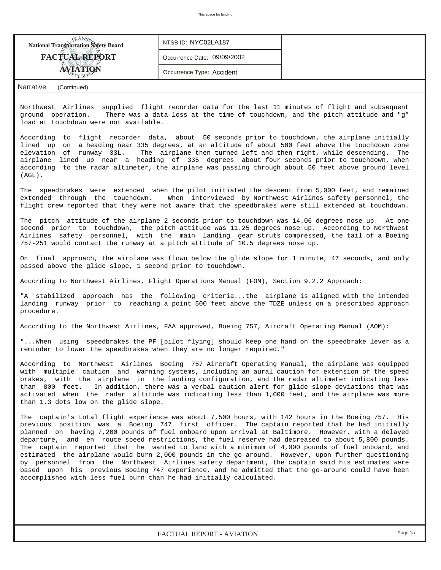| <b>National Transportation Safety Board</b>                                                                                                                                                                                                                                                                                                                                                                                                                                                                                                                                                                                                                                                                                                                                                                                                                                                         | NTSB ID: NYC02LA187                                                                                                                                              |                                                                                |  |  |  |  |  |  |  |
|-----------------------------------------------------------------------------------------------------------------------------------------------------------------------------------------------------------------------------------------------------------------------------------------------------------------------------------------------------------------------------------------------------------------------------------------------------------------------------------------------------------------------------------------------------------------------------------------------------------------------------------------------------------------------------------------------------------------------------------------------------------------------------------------------------------------------------------------------------------------------------------------------------|------------------------------------------------------------------------------------------------------------------------------------------------------------------|--------------------------------------------------------------------------------|--|--|--|--|--|--|--|
| <b>FACTUAL REPORT</b>                                                                                                                                                                                                                                                                                                                                                                                                                                                                                                                                                                                                                                                                                                                                                                                                                                                                               | Occurrence Date: 09/09/2002                                                                                                                                      |                                                                                |  |  |  |  |  |  |  |
|                                                                                                                                                                                                                                                                                                                                                                                                                                                                                                                                                                                                                                                                                                                                                                                                                                                                                                     | Occurrence Type: Accident                                                                                                                                        |                                                                                |  |  |  |  |  |  |  |
| <b>Narrative</b><br>(Continued)                                                                                                                                                                                                                                                                                                                                                                                                                                                                                                                                                                                                                                                                                                                                                                                                                                                                     |                                                                                                                                                                  |                                                                                |  |  |  |  |  |  |  |
| Northwest Airlines supplied flight recorder data for the last 11 minutes of flight and subsequent<br>ground operation.<br>load at touchdown were not available.                                                                                                                                                                                                                                                                                                                                                                                                                                                                                                                                                                                                                                                                                                                                     |                                                                                                                                                                  | There was a data loss at the time of touchdown, and the pitch attitude and "g" |  |  |  |  |  |  |  |
| According to flight recorder data, about 50 seconds prior to touchdown, the airplane initially<br>lined up on a heading near 335 degrees, at an altitude of about 500 feet above the touchdown zone<br>elevation of runway 33L.<br>airplane lined up near a heading of 335 degrees about four seconds prior to touchdown, when<br>according to the radar altimeter, the airplane was passing through about 50 feet above ground level<br>$(AGL)$ .                                                                                                                                                                                                                                                                                                                                                                                                                                                  | The airplane then turned left and then right, while descending.                                                                                                  | The                                                                            |  |  |  |  |  |  |  |
| The speedbrakes were extended when the pilot initiated the descent from 5,000 feet, and remained<br>extended through the touchdown. When interviewed by Northwest Airlines safety personnel, the<br>flight crew reported that they were not aware that the speedbrakes were still extended at touchdown.                                                                                                                                                                                                                                                                                                                                                                                                                                                                                                                                                                                            |                                                                                                                                                                  |                                                                                |  |  |  |  |  |  |  |
| The pitch attitude of the airplane 2 seconds prior to touchdown was 14.06 degrees nose up. At one<br>second prior to touchdown, the pitch attitude was 11.25 degrees nose up. According to Northwest<br>Airlines safety personnel, with the main landing gear struts compressed, the tail of a Boeing<br>757-251 would contact the runway at a pitch attitude of 10.5 degrees nose up.                                                                                                                                                                                                                                                                                                                                                                                                                                                                                                              |                                                                                                                                                                  |                                                                                |  |  |  |  |  |  |  |
|                                                                                                                                                                                                                                                                                                                                                                                                                                                                                                                                                                                                                                                                                                                                                                                                                                                                                                     | On final approach, the airplane was flown below the glide slope for 1 minute, 47 seconds, and only<br>passed above the glide slope, 1 second prior to touchdown. |                                                                                |  |  |  |  |  |  |  |
| According to Northwest Airlines, Flight Operations Manual (FOM), Section 9.2.2 Approach:                                                                                                                                                                                                                                                                                                                                                                                                                                                                                                                                                                                                                                                                                                                                                                                                            |                                                                                                                                                                  |                                                                                |  |  |  |  |  |  |  |
| "A stabilized approach has the following criteriathe airplane is aligned with the intended<br>landing runway prior to reaching a point 500 feet above the TDZE unless on a prescribed approach<br>procedure.                                                                                                                                                                                                                                                                                                                                                                                                                                                                                                                                                                                                                                                                                        |                                                                                                                                                                  |                                                                                |  |  |  |  |  |  |  |
| According to the Northwest Airlines, FAA approved, Boeing 757, Aircraft Operating Manual (AOM):                                                                                                                                                                                                                                                                                                                                                                                                                                                                                                                                                                                                                                                                                                                                                                                                     |                                                                                                                                                                  |                                                                                |  |  |  |  |  |  |  |
| When using speedbrakes the PF [pilot flying] should keep one hand on the speedbrake lever as a."<br>reminder to lower the speedbrakes when they are no longer required."                                                                                                                                                                                                                                                                                                                                                                                                                                                                                                                                                                                                                                                                                                                            |                                                                                                                                                                  |                                                                                |  |  |  |  |  |  |  |
| According to Northwest Airlines Boeing 757 Aircraft Operating Manual, the airplane was equipped<br>with multiple caution and warning systems, including an aural caution for extension of the speed<br>brakes, with the airplane in the landing configuration, and the radar altimeter indicating less<br>than 800 feet.<br>In addition, there was a verbal caution alert for glide slope deviations that was<br>activated when the radar altitude was indicating less than 1,000 feet, and the airplane was more<br>than 1.3 dots low on the glide slope.                                                                                                                                                                                                                                                                                                                                          |                                                                                                                                                                  |                                                                                |  |  |  |  |  |  |  |
| The captain's total flight experience was about 7,500 hours, with 142 hours in the Boeing 757. His<br>previous position was a Boeing 747 first officer. The captain reported that he had initially<br>planned on having 7,200 pounds of fuel onboard upon arrival at Baltimore. However, with a delayed<br>departure, and en route speed restrictions, the fuel reserve had decreased to about 5,800 pounds.<br>The captain reported that he wanted to land with a minimum of 4,000 pounds of fuel onboard, and<br>estimated the airplane would burn 2,000 pounds in the go-around. However, upon further questioning<br>by personnel from the Northwest Airlines safety department, the captain said his estimates were<br>based upon his previous Boeing 747 experience, and he admitted that the go-around could have been<br>accomplished with less fuel burn than he had initially calculated. |                                                                                                                                                                  |                                                                                |  |  |  |  |  |  |  |
|                                                                                                                                                                                                                                                                                                                                                                                                                                                                                                                                                                                                                                                                                                                                                                                                                                                                                                     |                                                                                                                                                                  |                                                                                |  |  |  |  |  |  |  |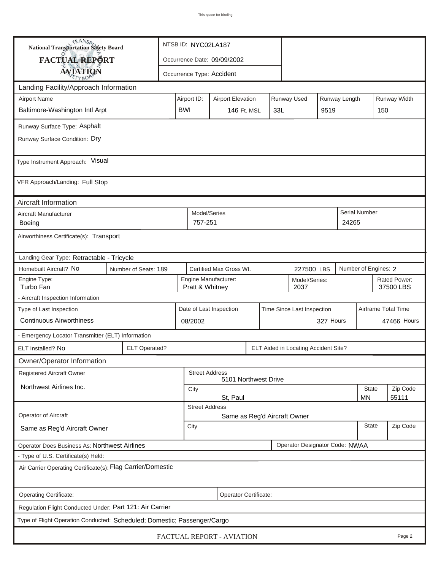| <b>National Transportation Safety Board</b><br><b>FACTUAL REPORT</b>     |                         |  | NTSB ID: NYC02LA187                                   |                                                          |  |  |                                |                      |  |                           |                     |
|--------------------------------------------------------------------------|-------------------------|--|-------------------------------------------------------|----------------------------------------------------------|--|--|--------------------------------|----------------------|--|---------------------------|---------------------|
|                                                                          |                         |  | Occurrence Date: 09/09/2002                           |                                                          |  |  |                                |                      |  |                           |                     |
| <b>AVIATION</b>                                                          |                         |  | Occurrence Type: Accident                             |                                                          |  |  |                                |                      |  |                           |                     |
| Landing Facility/Approach Information                                    |                         |  |                                                       |                                                          |  |  |                                |                      |  |                           |                     |
| <b>Airport Name</b>                                                      |                         |  | Airport ID:                                           | Runway Used<br>Runway Length<br><b>Airport Elevation</b> |  |  |                                |                      |  |                           | Runway Width        |
| Baltimore-Washington Intl Arpt                                           |                         |  | <b>BWI</b>                                            | 33L<br><b>146 Ft. MSL</b>                                |  |  | 9519                           |                      |  | 150                       |                     |
| Runway Surface Type: Asphalt                                             |                         |  |                                                       |                                                          |  |  |                                |                      |  |                           |                     |
| Runway Surface Condition: Dry                                            |                         |  |                                                       |                                                          |  |  |                                |                      |  |                           |                     |
| Type Instrument Approach: Visual                                         |                         |  |                                                       |                                                          |  |  |                                |                      |  |                           |                     |
| VFR Approach/Landing: Full Stop                                          |                         |  |                                                       |                                                          |  |  |                                |                      |  |                           |                     |
| Aircraft Information                                                     |                         |  |                                                       |                                                          |  |  |                                |                      |  |                           |                     |
| Aircraft Manufacturer<br>Boeing                                          | Model/Series<br>757-251 |  |                                                       |                                                          |  |  | 24265                          | <b>Serial Number</b> |  |                           |                     |
| Airworthiness Certificate(s): Transport                                  |                         |  |                                                       |                                                          |  |  |                                |                      |  |                           |                     |
| Landing Gear Type: Retractable - Tricycle                                |                         |  |                                                       |                                                          |  |  |                                |                      |  |                           |                     |
| Homebuilt Aircraft? No                                                   | Number of Seats: 189    |  |                                                       |                                                          |  |  | 227500 LBS                     |                      |  | Number of Engines: 2      |                     |
| Engine Type:<br>Turbo Fan                                                |                         |  | Pratt & Whitney                                       | Engine Manufacturer:                                     |  |  | Model/Series:<br>2037          |                      |  | Rated Power:<br>37500 LBS |                     |
| - Aircraft Inspection Information                                        |                         |  |                                                       |                                                          |  |  |                                |                      |  |                           |                     |
| Type of Last Inspection                                                  |                         |  | Date of Last Inspection<br>Time Since Last Inspection |                                                          |  |  |                                |                      |  |                           | Airframe Total Time |
| <b>Continuous Airworthiness</b>                                          |                         |  | 08/2002                                               |                                                          |  |  |                                | 327 Hours            |  |                           | 47466 Hours         |
| - Emergency Locator Transmitter (ELT) Information                        |                         |  |                                                       |                                                          |  |  |                                |                      |  |                           |                     |
| ELT Installed? No                                                        | <b>ELT Operated?</b>    |  |                                                       | ELT Aided in Locating Accident Site?                     |  |  |                                |                      |  |                           |                     |
| Owner/Operator Information                                               |                         |  |                                                       |                                                          |  |  |                                |                      |  |                           |                     |
| <b>Registered Aircraft Owner</b>                                         |                         |  | <b>Street Address</b><br>5101 Northwest Drive         |                                                          |  |  |                                |                      |  |                           |                     |
| Northwest Airlines Inc.                                                  |                         |  | City                                                  |                                                          |  |  |                                |                      |  | <b>State</b>              | Zip Code            |
|                                                                          |                         |  | 55111<br>St, Paul<br>MN                               |                                                          |  |  |                                |                      |  |                           |                     |
| <b>Operator of Aircraft</b>                                              |                         |  | <b>Street Address</b><br>Same as Reg'd Aircraft Owner |                                                          |  |  |                                |                      |  |                           |                     |
| Same as Reg'd Aircraft Owner                                             |                         |  | City                                                  |                                                          |  |  |                                |                      |  | <b>State</b>              | Zip Code            |
| Operator Does Business As: Northwest Airlines                            |                         |  |                                                       |                                                          |  |  | Operator Designator Code: NWAA |                      |  |                           |                     |
| - Type of U.S. Certificate(s) Held:                                      |                         |  |                                                       |                                                          |  |  |                                |                      |  |                           |                     |
| Air Carrier Operating Certificate(s): Flag Carrier/Domestic              |                         |  |                                                       |                                                          |  |  |                                |                      |  |                           |                     |
| Operating Certificate:                                                   |                         |  |                                                       | Operator Certificate:                                    |  |  |                                |                      |  |                           |                     |
| Regulation Flight Conducted Under: Part 121: Air Carrier                 |                         |  |                                                       |                                                          |  |  |                                |                      |  |                           |                     |
| Type of Flight Operation Conducted: Scheduled; Domestic; Passenger/Cargo |                         |  |                                                       |                                                          |  |  |                                |                      |  |                           |                     |
| FACTUAL REPORT - AVIATION<br>Page 2                                      |                         |  |                                                       |                                                          |  |  |                                |                      |  |                           |                     |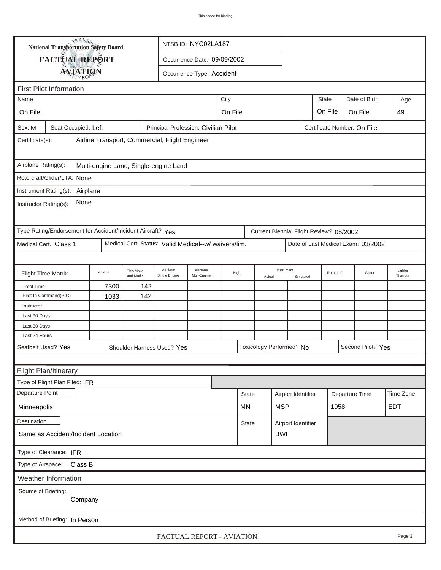| TRANSA<br>National Transportation Safety Board                                                         |                                    |         |                        |                                                      | NTSB ID: NYC02LA187         |      |                          |  |                    |           |                             |                        |                                    |                     |
|--------------------------------------------------------------------------------------------------------|------------------------------------|---------|------------------------|------------------------------------------------------|-----------------------------|------|--------------------------|--|--------------------|-----------|-----------------------------|------------------------|------------------------------------|---------------------|
|                                                                                                        | FACTUAL REPORT                     |         |                        |                                                      | Occurrence Date: 09/09/2002 |      |                          |  |                    |           |                             |                        |                                    |                     |
|                                                                                                        | <b>AVIATION</b>                    |         |                        |                                                      | Occurrence Type: Accident   |      |                          |  |                    |           |                             |                        |                                    |                     |
|                                                                                                        |                                    |         |                        |                                                      |                             |      |                          |  |                    |           |                             |                        |                                    |                     |
| Name                                                                                                   | <b>First Pilot Information</b>     |         |                        |                                                      |                             | City |                          |  |                    |           | <b>State</b>                |                        | Date of Birth                      | Age                 |
|                                                                                                        |                                    |         |                        |                                                      |                             |      |                          |  |                    |           | On File                     |                        |                                    |                     |
| On File                                                                                                |                                    |         |                        |                                                      |                             |      | On File                  |  |                    |           |                             |                        | On File                            | 49                  |
| Sex: M                                                                                                 | Seat Occupied: Left                |         |                        | Principal Profession: Civilian Pilot                 |                             |      |                          |  |                    |           | Certificate Number: On File |                        |                                    |                     |
| Certificate(s):                                                                                        |                                    |         |                        | Airline Transport; Commercial; Flight Engineer       |                             |      |                          |  |                    |           |                             |                        |                                    |                     |
| Airplane Rating(s):                                                                                    |                                    |         |                        | Multi-engine Land; Single-engine Land                |                             |      |                          |  |                    |           |                             |                        |                                    |                     |
| Rotorcraft/Glider/LTA: None                                                                            |                                    |         |                        |                                                      |                             |      |                          |  |                    |           |                             |                        |                                    |                     |
| Instrument Rating(s): Airplane                                                                         |                                    |         |                        |                                                      |                             |      |                          |  |                    |           |                             |                        |                                    |                     |
| None<br>Instructor Rating(s):                                                                          |                                    |         |                        |                                                      |                             |      |                          |  |                    |           |                             |                        |                                    |                     |
| Type Rating/Endorsement for Accident/Incident Aircraft? Yes<br>Current Biennial Flight Review? 06/2002 |                                    |         |                        |                                                      |                             |      |                          |  |                    |           |                             |                        |                                    |                     |
|                                                                                                        | Medical Cert.: Class 1             |         |                        | Medical Cert. Status: Valid Medical--w/ waivers/lim. |                             |      |                          |  |                    |           |                             |                        | Date of Last Medical Exam: 03/2002 |                     |
|                                                                                                        |                                    |         |                        |                                                      |                             |      |                          |  |                    |           |                             |                        |                                    |                     |
| - Flight Time Matrix                                                                                   |                                    | All A/C | This Make<br>and Model | Airplane<br>Single Engine                            | Airplane<br>Mult-Engine     |      | Night<br>Actual          |  | Instrument         | Simulated |                             | Rotorcraft             | Glider                             | Lighter<br>Than Air |
| <b>Total Time</b>                                                                                      |                                    | 7300    | 142                    |                                                      |                             |      |                          |  |                    |           |                             |                        |                                    |                     |
|                                                                                                        | Pilot In Command(PIC)              | 1033    | 142                    |                                                      |                             |      |                          |  |                    |           |                             |                        |                                    |                     |
| Instructor<br>Last 90 Days                                                                             |                                    |         |                        |                                                      |                             |      |                          |  |                    |           |                             |                        |                                    |                     |
| Last 30 Days                                                                                           |                                    |         |                        |                                                      |                             |      |                          |  |                    |           |                             |                        |                                    |                     |
| Last 24 Hours                                                                                          |                                    |         |                        |                                                      |                             |      |                          |  |                    |           |                             |                        |                                    |                     |
| Seatbelt Used? Yes                                                                                     |                                    |         |                        | Shoulder Harness Used? Yes                           |                             |      | Toxicology Performed? No |  |                    |           |                             |                        | Second Pilot? Yes                  |                     |
|                                                                                                        |                                    |         |                        |                                                      |                             |      |                          |  |                    |           |                             |                        |                                    |                     |
|                                                                                                        | Flight Plan/Itinerary              |         |                        |                                                      |                             |      |                          |  |                    |           |                             |                        |                                    |                     |
|                                                                                                        | Type of Flight Plan Filed: IFR     |         |                        |                                                      |                             |      |                          |  |                    |           |                             |                        |                                    |                     |
| Departure Point                                                                                        |                                    |         |                        |                                                      |                             |      | <b>State</b>             |  | Airport Identifier |           |                             |                        |                                    | Time Zone           |
| Minneapolis                                                                                            |                                    |         |                        |                                                      |                             |      | MN                       |  | <b>MSP</b>         |           |                             | Departure Time<br>1958 |                                    | <b>EDT</b>          |
| Destination                                                                                            |                                    |         |                        |                                                      |                             |      | State                    |  | Airport Identifier |           |                             |                        |                                    |                     |
|                                                                                                        | Same as Accident/Incident Location |         |                        |                                                      |                             |      | <b>BWI</b>               |  |                    |           |                             |                        |                                    |                     |
|                                                                                                        | Type of Clearance: IFR             |         |                        |                                                      |                             |      |                          |  |                    |           |                             |                        |                                    |                     |
| Type of Airspace:                                                                                      | Class B                            |         |                        |                                                      |                             |      |                          |  |                    |           |                             |                        |                                    |                     |
|                                                                                                        | Weather Information                |         |                        |                                                      |                             |      |                          |  |                    |           |                             |                        |                                    |                     |
| Source of Briefing:                                                                                    |                                    |         |                        |                                                      |                             |      |                          |  |                    |           |                             |                        |                                    |                     |
|                                                                                                        | Company                            |         |                        |                                                      |                             |      |                          |  |                    |           |                             |                        |                                    |                     |
| Method of Briefing: In Person                                                                          |                                    |         |                        |                                                      |                             |      |                          |  |                    |           |                             |                        |                                    |                     |
| FACTUAL REPORT - AVIATION<br>Page 3                                                                    |                                    |         |                        |                                                      |                             |      |                          |  |                    |           |                             |                        |                                    |                     |